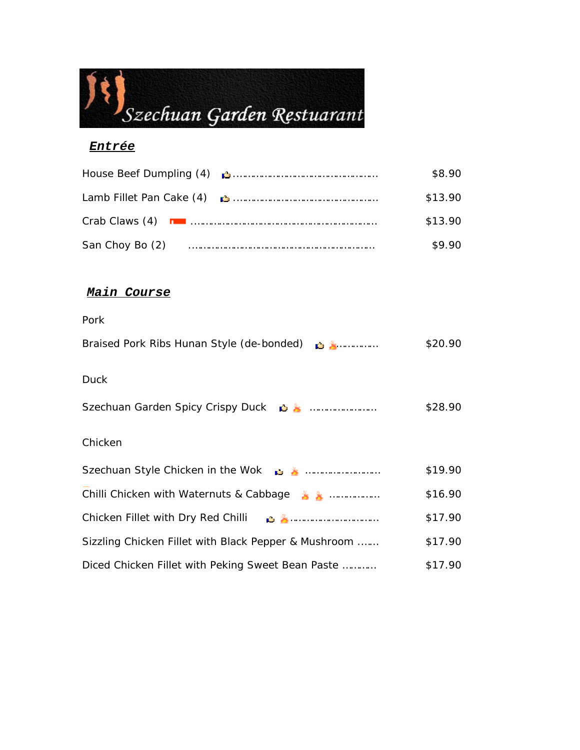# Szechuan Garden Restuarant

#### *Entrée*

|                 |                                                                                                                                                                                                                                    | \$8.90  |
|-----------------|------------------------------------------------------------------------------------------------------------------------------------------------------------------------------------------------------------------------------------|---------|
|                 | Lamb Fillet Pan Cake (4) <b>Communicate Contract Contract Pan Cake (4) Contract Contract Contract Contract Contract Contract Contract Contract Contract Contract Contract Contract Contract Contract Contract Contract Contrac</b> | \$13.90 |
|                 |                                                                                                                                                                                                                                    | \$13.90 |
| San Choy Bo (2) |                                                                                                                                                                                                                                    | \$9.90  |

## *Main Course*

# *Pork* Braised Pork Ribs Hunan Style (de-bonded) …………… \$20.90 *Duck* Szechuan Garden Spicy Crispy Duck **in American metallic State \$28.90** *Chicken* Szechuan Style Chicken in the Wok **is a muller** metal with the Steechuan Style Chicken in the Wok Chilli Chicken with Waternuts & Cabbage ……………… \$16.90 Chicken Fillet with Dry Red Chilli …………………………… \$17.90 Sizzling Chicken Fillet with Black Pepper & Mushroom .…… \$17.90 Diced Chicken Fillet with Peking Sweet Bean Paste ………… \$17.90